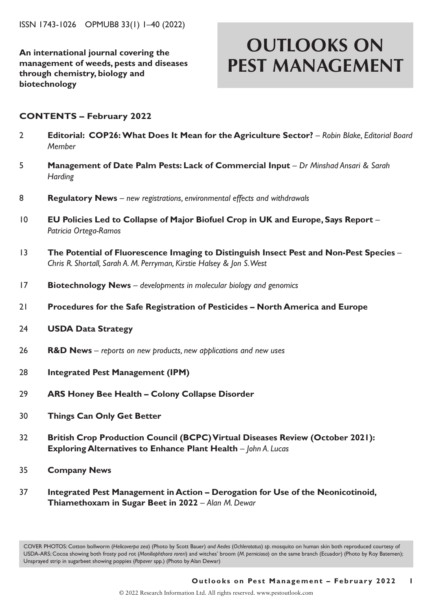**An international journal covering the management of weeds, pests and diseases through chemistry, biology and biotechnology**

# **OUTLOOKS ON PEST MANAGEMENT**

### **CONTENTS – February 2022**

- 2 **Editorial: COP26: What Does It Mean for the Agriculture Sector?**  *Robin Blake, Editorial Board Member*
- 5 **Management of Date Palm Pests: Lack of Commercial Input** *Dr Minshad Ansari & Sarah Harding*
- 8 **Regulatory News** *new registrations, environmental effects and withdrawals*
- 10 **EU Policies Led to Collapse of Major Biofuel Crop in UK and Europe, Says Report**  *Patricia Ortega-Ramos*
- 13 **The Potential of Fluorescence Imaging to Distinguish Insect Pest and Non-Pest Species**  *Chris R. Shortall, Sarah A. M. Perryman, Kirstie Halsey & Jon S. West*
- 17 **Biotechnology News** *developments in molecular biology and genomics*
- 21 **Procedures for the Safe Registration of Pesticides North America and Europe**
- 24 **USDA Data Strategy**
- 26 **R&D News** *reports on new products, new applications and new uses*
- 28 **Integrated Pest Management (IPM)**
- 29 **ARS Honey Bee Health Colony Collapse Disorder**
- 30 **Things Can Only Get Better**
- 32 **British Crop Production Council (BCPC) Virtual Diseases Review (October 2021): Exploring Alternatives to Enhance Plant Health** – *John A. Lucas*
- 35 **Company News**
- 37 **Integrated Pest Management in Action Derogation for Use of the Neonicotinoid, Thiamethoxam in Sugar Beet in 2022** – *Alan M. Dewar*

COVER PHOTOS: Cotton bollworm (*Helicoverpa zea*) (Photo by Scott Bauer) *and Aedes* (*Ochlerotatus*) *sp*. mosquito on human skin both reproduced courtesy of USDA-ARS; Cocoa showing both frosty pod rot (*Moniliophthora roreri*) and witches' broom (*M. perniciosa*) on the same branch (Ecuador) (Photo by Roy Batemen); Unsprayed strip in sugarbeet showing poppies (*Papaver* spp.) (Photo by Alan Dewar)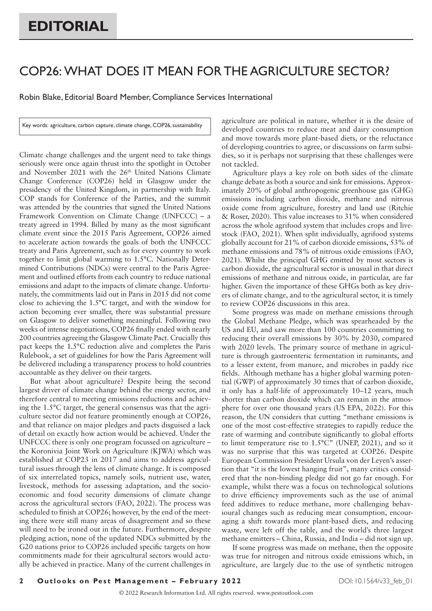## COP26: WHAT DOES IT MEAN FOR THE AGRICULTURE SECTOR?

Robin Blake, Editorial Board Member, Compliance Services International

Key words: agriculture, carbon capture, climate change, COP26, sustainability

Climate change challenges and the urgent need to take things seriously were once again thrust into the spotlight in October and November 2021 with the 26<sup>th</sup> United Nations Climate Change Conference (COP26) held in Glasgow under the presidency of the United Kingdom, in partnership with Italy. COP stands for Conference of the Parties, and the summit was attended by the countries that signed the United Nations Framework Convention on Climate Change (UNFCCC) – a treaty agreed in 1994. Billed by many as the most significant climate event since the 2015 Paris Agreement, COP26 aimed to accelerate action towards the goals of both the UNFCCC treaty and Paris Agreement, such as for every country to work together to limit global warming to 1.5°C. Nationally Determined Contributions (NDCs) were central to the Paris Agreement and outlined efforts from each country to reduce national emissions and adapt to the impacts of climate change. Unfortunately, the commitments laid out in Paris in 2015 did not come close to achieving the 1.5°C target, and with the window for action becoming ever smaller, there was substantial pressure on Glasgow to deliver something meaningful. Following two weeks of intense negotiations, COP26 finally ended with nearly 200 countries agreeing the Glasgow Climate Pact. Crucially this pact keeps the 1.5°C reduction alive and completes the Paris Rulebook, a set of guidelines for how the Paris Agreement will be delivered including a transparency process to hold countries accountable as they deliver on their targets.

But what about agriculture? Despite being the second largest driver of climate change behind the energy sector, and therefore central to meeting emissions reductions and achieving the 1.5°C target, the general consensus was that the agriculture sector did not feature prominently enough at COP26, and that reliance on major pledges and pacts disguised a lack of detail on exactly how action would be achieved. Under the UNFCCC there is only one program focussed on agriculture – the Koronivia Joint Work on Agriculture (KJWA) which was established at COP23 in 2017 and aims to address agricultural issues through the lens of climate change. It is composed of six interrelated topics, namely soils, nutrient use, water, livestock, methods for assessing adaptation, and the socioeconomic and food security dimensions of climate change across the agricultural sectors (FAO, 2022). The process was scheduled to finish at COP26; however, by the end of the meeting there were still many areas of disagreement and so these will need to be ironed out in the future. Furthermore, despite pledging action, none of the updated NDCs submitted by the G20 nations prior to COP26 included specific targets on how commitments made for their agricultural sectors would actually be achieved in practice. Many of the current challenges in agriculture are political in nature, whether it is the desire of developed countries to reduce meat and dairy consumption and move towards more plant-based diets, or the reluctance of developing countries to agree, or discussions on farm subsidies, so it is perhaps not surprising that these challenges were not tackled.

Agriculture plays a key role on both sides of the climate change debate as both a source and sink for emissions. Approximately 20% of global anthropogenic greenhouse gas (GHG) emissions including carbon dioxide, methane and nitrous oxide come from agriculture, forestry and land use (Ritchie & Roser, 2020). This value increases to 31% when considered across the whole agrifood system that includes crops and livestock (FAO, 2021). When split individually, agrifood systems globally account for 21% of carbon dioxide emissions, 53% of methane emissions and 78% of nitrous oxide emissions (FAO, 2021). Whilst the principal GHG emitted by most sectors is carbon dioxide, the agricultural sector is unusual in that direct emissions of methane and nitrous oxide, in particular, are far higher. Given the importance of these GHGs both as key drivers of climate change, and to the agricultural sector, it is timely to review COP26 discussions in this area.

Some progress was made on methane emissions through the Global Methane Pledge, which was spearheaded by the US and EU, and saw more than 100 countries committing to reducing their overall emissions by 30% by 2030, compared with 2020 levels. The primary source of methane in agriculture is through gastroenteric fermentation in ruminants, and to a lesser extent, from manure, and microbes in paddy rice fields. Although methane has a higher global warming potential (GWP) of approximately 30 times that of carbon dioxide, it only has a half-life of approximately 10–12 years, much shorter than carbon dioxide which can remain in the atmosphere for over one thousand years (US EPA, 2022). For this reason, the UN considers that cutting "methane emissions is one of the most cost-effective strategies to rapidly reduce the rate of warming and contribute significantly to global efforts to limit temperature rise to 1.5°C" (UNEP, 2021), and so it was no surprise that this was targeted at COP26. Despite European Commission President Ursula von der Leyen's assertion that "it is the lowest hanging fruit", many critics considered that the non-binding pledge did not go far enough. For example, whilst there was a focus on technological solutions to drive efficiency improvements such as the use of animal feed additives to reduce methane, more challenging behavioural changes such as reducing meat consumption, encouraging a shift towards more plant-based diets, and reducing waste, were left off the table, and the world's three largest methane emitters – China, Russia, and India – did not sign up.

If some progress was made on methane, then the opposite was true for nitrogen and nitrous oxide emissions which, in agriculture, are largely due to the use of synthetic nitrogen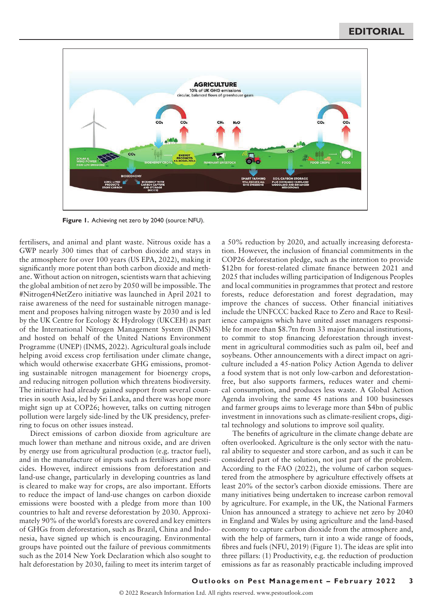

**Figure 1.** Achieving net zero by 2040 (source: NFU).

fertilisers, and animal and plant waste. Nitrous oxide has a GWP nearly 300 times that of carbon dioxide and stays in the atmosphere for over 100 years (US EPA, 2022), making it significantly more potent than both carbon dioxide and methane. Without action on nitrogen, scientists warn that achieving the global ambition of net zero by 2050 will be impossible. The #Nitrogen4NetZero initiative was launched in April 2021 to raise awareness of the need for sustainable nitrogen management and proposes halving nitrogen waste by 2030 and is led by the UK Centre for Ecology & Hydrology (UKCEH) as part of the International Nitrogen Management System (INMS) and hosted on behalf of the United Nations Environment Programme (UNEP) (INMS, 2022). Agricultural goals include helping avoid excess crop fertilisation under climate change, which would otherwise exacerbate GHG emissions, promoting sustainable nitrogen management for bioenergy crops, and reducing nitrogen pollution which threatens biodiversity. The initiative had already gained support from several countries in south Asia, led by Sri Lanka, and there was hope more might sign up at COP26; however, talks on cutting nitrogen pollution were largely side-lined by the UK presidency, preferring to focus on other issues instead.

Direct emissions of carbon dioxide from agriculture are much lower than methane and nitrous oxide, and are driven by energy use from agricultural production (e.g. tractor fuel), and in the manufacture of inputs such as fertilisers and pesticides. However, indirect emissions from deforestation and land-use change, particularly in developing countries as land is cleared to make way for crops, are also important. Efforts to reduce the impact of land-use changes on carbon dioxide emissions were boosted with a pledge from more than 100 countries to halt and reverse deforestation by 2030. Approximately 90% of the world's forests are covered and key emitters of GHGs from deforestation, such as Brazil, China and Indonesia, have signed up which is encouraging. Environmental groups have pointed out the failure of previous commitments such as the 2014 New York Declaration which also sought to halt deforestation by 2030, failing to meet its interim target of a 50% reduction by 2020, and actually increasing deforestation. However, the inclusion of financial commitments in the COP26 deforestation pledge, such as the intention to provide \$12bn for forest-related climate finance between 2021 and 2025 that includes willing participation of Indigenous Peoples and local communities in programmes that protect and restore forests, reduce deforestation and forest degradation, may improve the chances of success. Other financial initiatives include the UNFCCC backed Race to Zero and Race to Resilience campaigns which have united asset managers responsible for more than \$8.7tn from 33 major financial institutions, to commit to stop financing deforestation through investment in agricultural commodities such as palm oil, beef and soybeans. Other announcements with a direct impact on agriculture included a 45-nation Policy Action Agenda to deliver a food system that is not only low-carbon and deforestationfree, but also supports farmers, reduces water and chemical consumption, and produces less waste. A Global Action Agenda involving the same 45 nations and 100 businesses and farmer groups aims to leverage more than \$4bn of public investment in innovations such as climate-resilient crops, digital technology and solutions to improve soil quality.

The benefits of agriculture in the climate change debate are often overlooked. Agriculture is the only sector with the natural ability to sequester and store carbon, and as such it can be considered part of the solution, not just part of the problem. According to the FAO (2022), the volume of carbon sequestered from the atmosphere by agriculture effectively offsets at least 20% of the sector's carbon dioxide emissions. There are many initiatives being undertaken to increase carbon removal by agriculture. For example, in the UK, the National Farmers Union has announced a strategy to achieve net zero by 2040 in England and Wales by using agriculture and the land-based economy to capture carbon dioxide from the atmosphere and, with the help of farmers, turn it into a wide range of foods, fibres and fuels (NFU, 2019) (Figure 1). The ideas are split into three pillars: (1) Productivity, e.g. the reduction of production emissions as far as reasonably practicable including improved